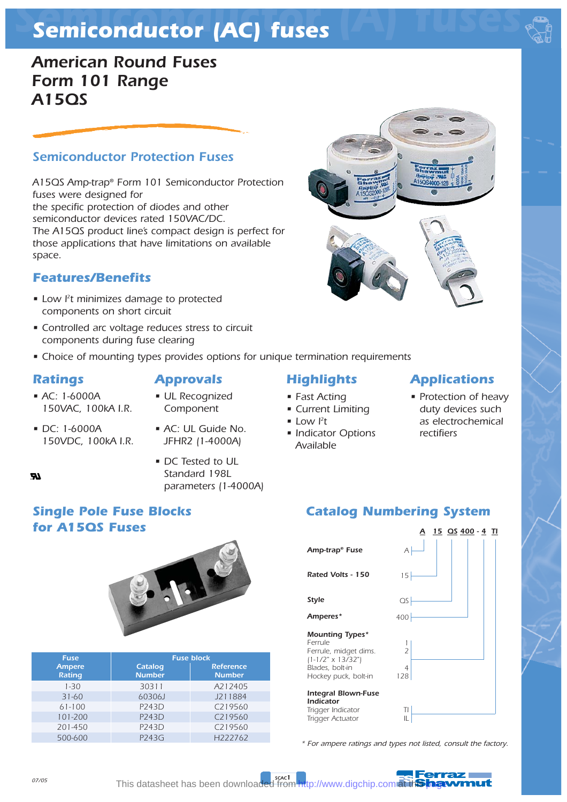# *Semiconductor (A) fuses Semiconductor (AC) fuses*

## *American Round Fuses Form 101 Range A15QS*

## *Semiconductor Protection Fuses*

*A15QS Amp-trap® Form 101 Semiconductor Protection fuses were designed for the specific protection of diodes and other semiconductor devices rated 150VAC/DC. The A15QS product line's compact design is perfect for those applications that have limitations on available space.*

## *Features/Benefits*

- *Low l2 t minimizes damage to protected components on short circuit*
- *Controlled arc voltage reduces stress to circuit components during fuse clearing*
- *Choice of mounting types provides options for unique termination requirements*

### *Ratings*

- *AC: 1-6000A 150VAC, 100kA I.R.*
- *UL Recognized Approvals*
- *Component*
- *DC: 1-6000A 150VDC, 100kA I.R.*
- *AC: UL Guide No. JFHR2 (1-4000A)*
- *DC Tested to UL Standard 198L parameters (1-4000A)*

## *Highlights*

- *Fast Acting*
- *Current Limiting*
- $\bullet$  Low  $l^2t$
- *Indicator Options Available*



*• Protection of heavy duty devices such as electrochemical rectifiers*

## *Catalog Numbering System*



*\* For ampere ratings and types not listed, consult the factory.*



## *Single Pole Fuse Blocks for A15QS Fuses*



| <b>Fuse</b>                    | <b>Fuse block</b>        |                                   |  |  |  |  |  |
|--------------------------------|--------------------------|-----------------------------------|--|--|--|--|--|
| <b>Ampere</b><br><b>Rating</b> | Catalog<br><b>Number</b> | <b>Reference</b><br><b>Number</b> |  |  |  |  |  |
| $1 - 30$                       | 30311                    | A212405                           |  |  |  |  |  |
| $31 - 60$                      | 60306J                   | J211884                           |  |  |  |  |  |
| $61 - 100$                     | P243D                    | C219560                           |  |  |  |  |  |
| 101-200                        | P243D                    | C219560                           |  |  |  |  |  |
| 201-450                        | P243D                    | C219560                           |  |  |  |  |  |
| 500-600                        | P243G                    | H <sub>222762</sub>               |  |  |  |  |  |

This datasheet has been downloaded from <http://www.digchip.com> at th**is had**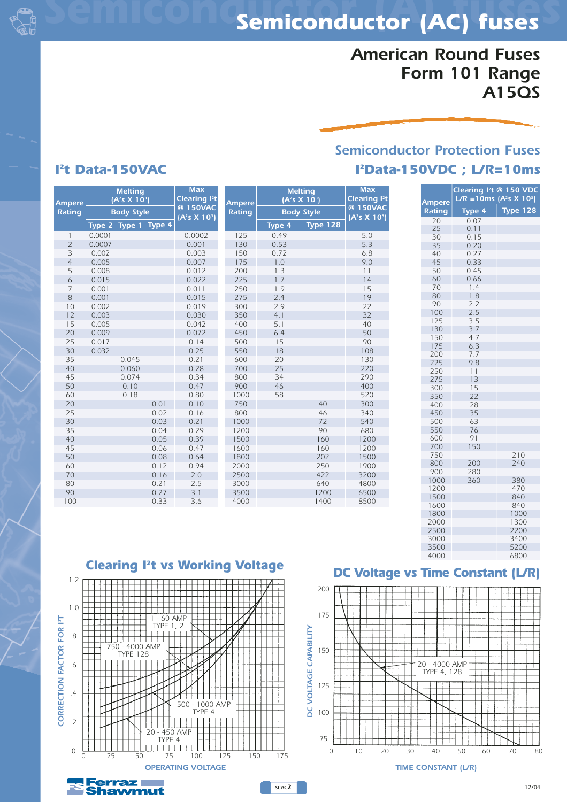

## *American Round Fuses Form 101 Range A15QS*

## *Semiconductor Protection Fuses I2Data-150VDC ; L/R=10ms*

### *1 2 3 4 5 6 7 8 10 12 15 20 25 30 35 40 45 50 60 20 25 30 35 40 45 50 60 70 80 90 100 Ampere Rating Melting (A2 s X 103 ) 0.045 0.060 0.074 0.10 0.18 Max Clearing I2 t @ 150VAC (A2 s X 103 ) 0.0001 0.0007 0.002 0.005 0.008 0.015 0.001 0.001 0.002 0.003 0.005 0.009 0.017 0.032 0.01 0.02 0.03 0.04 0.05 0.06 0.08 0.12 0.16 0.21 0.27 0.33 Body Style Type 2 Type 1 Type 4 0.0002 0.001 0.003 0.007 0.012 0.022 0.011 0.015 0.019 0.030 0.042 0.072 0.14 0.25 0.21 0.28 0.34 0.47 0.80 0.10 0.16 0.21 0.29 0.39 0.47 0.64 0.94 2.0 2.5 3.1 3.6 125 130 150 175 200 225 250 275 300 350 400 450 500 550 600 700 800 900 1000 750 800 1000 1200 1500 1600 1800 2000 2500 3000 3500 4000 Ampere Rating Melting (A2 s X 103 ) Max Clearing I2 t @ 150VAC (A2 s X 103 ) 0.49 0.53 0.72 1.0 1.3 1.7 1.9 2.4 2.9 4.1 5.1 6.4 15 18 20 25 34 46 58 40 46 72 90 160 160 202 250 422 640 1200 1400 Body Style Type 4 Type 128 5.0 5.3 6.8 9.0 11 14 15 19 22 32 40 50 90 108 130 220 290 400 520 300 340 540 680 1200 1200 1500 1900 3200 4800 6500 8500*

| <b>Ampere</b> | Clearing Pt @ 150 VDC<br>$L/R = 10ms (A2s X 103)$ |                 |  |  |  |  |  |  |
|---------------|---------------------------------------------------|-----------------|--|--|--|--|--|--|
| <b>Rating</b> | Type <sub>4</sub>                                 | <b>Type 128</b> |  |  |  |  |  |  |
| 20            | 0.07                                              |                 |  |  |  |  |  |  |
| 25            | 0.11                                              |                 |  |  |  |  |  |  |
| 30            | 0.15                                              |                 |  |  |  |  |  |  |
| 35            | 0.20                                              |                 |  |  |  |  |  |  |
| 40            | 0.27                                              |                 |  |  |  |  |  |  |
| 45            | 0.33                                              |                 |  |  |  |  |  |  |
| 50            | 0.45                                              |                 |  |  |  |  |  |  |
| 60            | 0.66                                              |                 |  |  |  |  |  |  |
| 70            | 1.4                                               |                 |  |  |  |  |  |  |
| 80            | 1.8                                               |                 |  |  |  |  |  |  |
| 90            | 2.2                                               |                 |  |  |  |  |  |  |
| 100           | 2.5                                               |                 |  |  |  |  |  |  |
| 125           | 3.5                                               |                 |  |  |  |  |  |  |
| 130           | 3.7                                               |                 |  |  |  |  |  |  |
| 150           | 4.7                                               |                 |  |  |  |  |  |  |
| 175           | 6.3                                               |                 |  |  |  |  |  |  |
| 200           | 7.7                                               |                 |  |  |  |  |  |  |
| 225           | 9.8                                               |                 |  |  |  |  |  |  |
| 250           | 11                                                |                 |  |  |  |  |  |  |
| 275           | 13                                                |                 |  |  |  |  |  |  |
| 300           | 15                                                |                 |  |  |  |  |  |  |
| 350           | 22                                                |                 |  |  |  |  |  |  |
| 400           | 28                                                |                 |  |  |  |  |  |  |
| 450           | 35                                                |                 |  |  |  |  |  |  |
| 500           | 63                                                |                 |  |  |  |  |  |  |
| 550           | 76                                                |                 |  |  |  |  |  |  |
| 600           | 91                                                |                 |  |  |  |  |  |  |
| 700           | 150                                               |                 |  |  |  |  |  |  |
| 750           |                                                   | 210             |  |  |  |  |  |  |
| 800           | 200                                               | 240             |  |  |  |  |  |  |
| 900           | 280                                               |                 |  |  |  |  |  |  |
| 1000          | 360                                               | 380             |  |  |  |  |  |  |
| 1200          |                                                   | 470             |  |  |  |  |  |  |
| 1500          |                                                   | 840             |  |  |  |  |  |  |
| 1600          |                                                   | 840             |  |  |  |  |  |  |
| 1800          |                                                   | 1000            |  |  |  |  |  |  |
| 2000          |                                                   | 1300            |  |  |  |  |  |  |
| 2500          |                                                   | 2200            |  |  |  |  |  |  |
| 3000          |                                                   | 3400            |  |  |  |  |  |  |
| 3500          |                                                   | 5200            |  |  |  |  |  |  |
| 4000          |                                                   | 6800            |  |  |  |  |  |  |

*Clearing I2t vs Working Voltage*



hawmut

### *DC Voltage vs Time Constant (L/R)*



# *I2t Data-150VAC*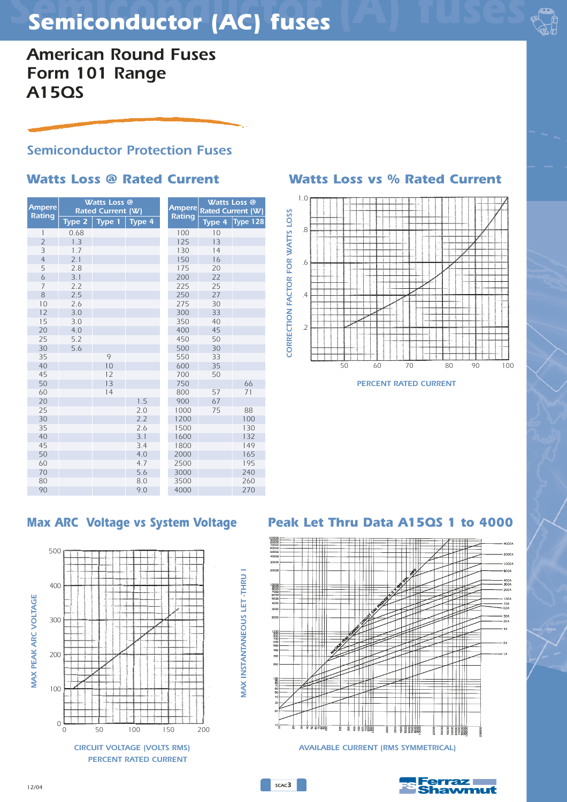# *Semiconductor (A) fuses Semiconductor (AC) fuses*

*American Round Fuses Form 101 Range A15QS*

## *Semiconductor Protection Fuses*

### *Max ARC Voltage vs System Voltage Peak Let Thru Data A15QS 1 to 4000 CORRECTION FACTOR FOR WATTS LOSS Ampere Rating Watts Loss @ Rated Current (W) 0.68 1.3 1.7 2.1 2.8 3.1 2.2 2.5 2.6 3.0 3.0 4.0 5.2 5.6 Type 2* | *1.5 2.0 2.2 2.6 3.1 3.4 4.0 4.7 5.6 8.0 9.0 Type 4 Ampere Rating Watts Loss @ Rated Current (W) Type 4 Type 128*



*SCAC3*

## *Watts Loss @ Rated Current Watts Loss vs % Rated Current*



*PERCENT RATED CURRENT*



*CIRCUIT VOLTAGE (VOLTS RMS) AVAILABLE CURRENT (RMS SYMMETRICAL)*

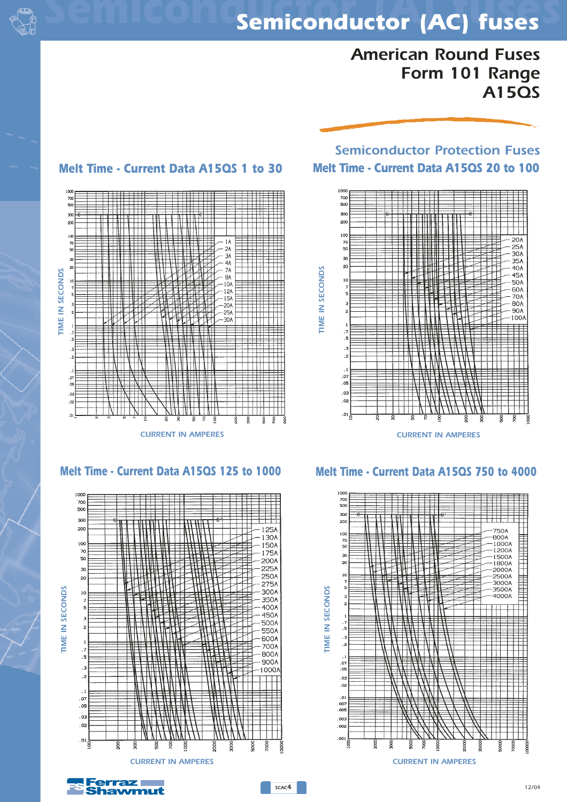

## *Semiconductor (A) fuses Semiconductor (AC) fuses*

## *American Round Fuses Form 101 Range A15QS*

## *Semiconductor Protection Fuses Melt Time - Current Data A15QS 1 to 30 Melt Time - Current Data A15QS 20 to 100*







### *Melt Time - Current Data A15QS 125 to 1000 Melt Time - Current Data A15QS 750 to 4000*



**Ferraz** hawmut